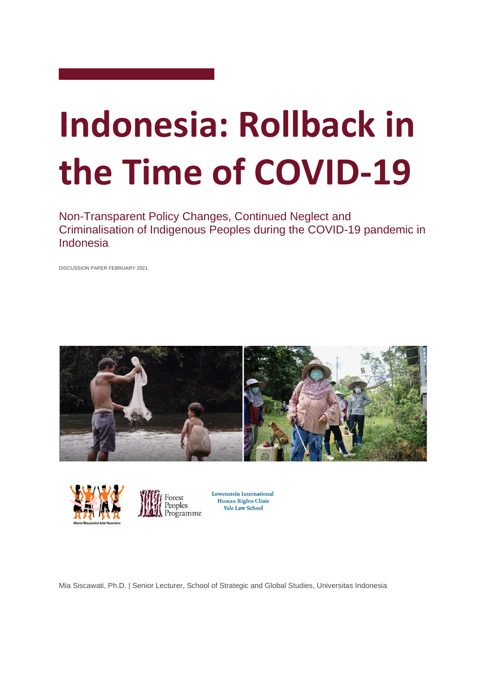# **Indonesia: Rollback in the Time of COVID-19**

Non-Transparent Policy Changes, Continued Neglect and Criminalisation of Indigenous Peoples during the COVID-19 pandemic in Indonesia

DISCUSSION PAPER FEBRUARY 2021







**Lowenstein International** Human Rights Clinic **Yale Law School** 

Mia Siscawati, Ph.D. | Senior Lecturer, School of Strategic and Global Studies, Universitas Indonesia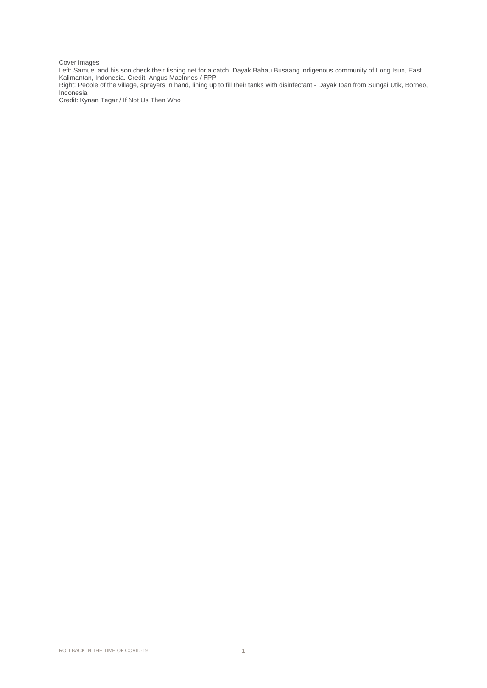#### Cover images

Left: Samuel and his son check their fishing net for a catch. Dayak Bahau Busaang indigenous community of Long Isun, East Kalimantan, Indonesia. Credit: Angus MacInnes / FPP

Right: People of the village, sprayers in hand, lining up to fill their tanks with disinfectant - Dayak Iban from Sungai Utik, Borneo, Indonesia

Credit: Kynan Tegar / If Not Us Then Who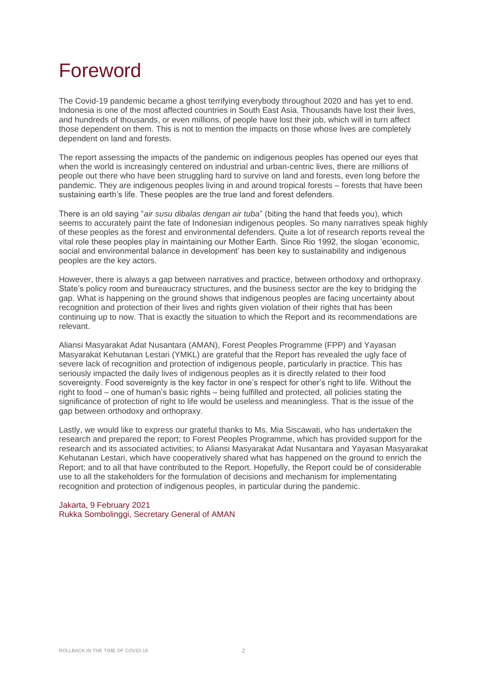### Foreword

The Covid-19 pandemic became a ghost terrifying everybody throughout 2020 and has yet to end. Indonesia is one of the most affected countries in South East Asia. Thousands have lost their lives, and hundreds of thousands, or even millions, of people have lost their job, which will in turn affect those dependent on them. This is not to mention the impacts on those whose lives are completely dependent on land and forests.

The report assessing the impacts of the pandemic on indigenous peoples has opened our eyes that when the world is increasingly centered on industrial and urban-centric lives, there are millions of people out there who have been struggling hard to survive on land and forests, even long before the pandemic. They are indigenous peoples living in and around tropical forests – forests that have been sustaining earth's life. These peoples are the true land and forest defenders.

There is an old saying "*air susu dibalas dengan air tuba*" (biting the hand that feeds you), which seems to accurately paint the fate of Indonesian indigenous peoples. So many narratives speak highly of these peoples as the forest and environmental defenders. Quite a lot of research reports reveal the vital role these peoples play in maintaining our Mother Earth. Since Rio 1992, the slogan 'economic, social and environmental balance in development' has been key to sustainability and indigenous peoples are the key actors.

However, there is always a gap between narratives and practice, between orthodoxy and orthopraxy. State's policy room and bureaucracy structures, and the business sector are the key to bridging the gap. What is happening on the ground shows that indigenous peoples are facing uncertainty about recognition and protection of their lives and rights given violation of their rights that has been continuing up to now. That is exactly the situation to which the Report and its recommendations are relevant.

Aliansi Masyarakat Adat Nusantara (AMAN), Forest Peoples Programme (FPP) and Yayasan Masyarakat Kehutanan Lestari (YMKL) are grateful that the Report has revealed the ugly face of severe lack of recognition and protection of indigenous people, particularly in practice. This has seriously impacted the daily lives of indigenous peoples as it is directly related to their food sovereignty. Food sovereignty is the key factor in one's respect for other's right to life. Without the right to food – one of human's basic rights – being fulfilled and protected, all policies stating the significance of protection of right to life would be useless and meaningless. That is the issue of the gap between orthodoxy and orthopraxy.

Lastly, we would like to express our grateful thanks to Ms. Mia Siscawati, who has undertaken the research and prepared the report; to Forest Peoples Programme, which has provided support for the research and its associated activities; to Aliansi Masyarakat Adat Nusantara and Yayasan Masyarakat Kehutanan Lestari, which have cooperatively shared what has happened on the ground to enrich the Report; and to all that have contributed to the Report. Hopefully, the Report could be of considerable use to all the stakeholders for the formulation of decisions and mechanism for implementating recognition and protection of indigenous peoples, in particular during the pandemic.

Jakarta, 9 February 2021 Rukka Sombolinggi, Secretary General of AMAN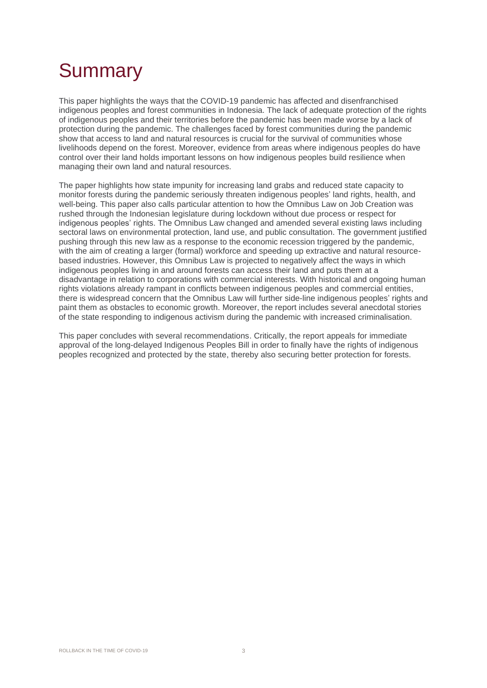# **Summary**

This paper highlights the ways that the COVID-19 pandemic has affected and disenfranchised indigenous peoples and forest communities in Indonesia. The lack of adequate protection of the rights of indigenous peoples and their territories before the pandemic has been made worse by a lack of protection during the pandemic. The challenges faced by forest communities during the pandemic show that access to land and natural resources is crucial for the survival of communities whose livelihoods depend on the forest. Moreover, evidence from areas where indigenous peoples do have control over their land holds important lessons on how indigenous peoples build resilience when managing their own land and natural resources.

The paper highlights how state impunity for increasing land grabs and reduced state capacity to monitor forests during the pandemic seriously threaten indigenous peoples' land rights, health, and well-being. This paper also calls particular attention to how the Omnibus Law on Job Creation was rushed through the Indonesian legislature during lockdown without due process or respect for indigenous peoples' rights. The Omnibus Law changed and amended several existing laws including sectoral laws on environmental protection, land use, and public consultation. The government justified pushing through this new law as a response to the economic recession triggered by the pandemic, with the aim of creating a larger (formal) workforce and speeding up extractive and natural resourcebased industries. However, this Omnibus Law is projected to negatively affect the ways in which indigenous peoples living in and around forests can access their land and puts them at a disadvantage in relation to corporations with commercial interests. With historical and ongoing human rights violations already rampant in conflicts between indigenous peoples and commercial entities, there is widespread concern that the Omnibus Law will further side-line indigenous peoples' rights and paint them as obstacles to economic growth. Moreover, the report includes several anecdotal stories of the state responding to indigenous activism during the pandemic with increased criminalisation.

This paper concludes with several recommendations. Critically, the report appeals for immediate approval of the long-delayed Indigenous Peoples Bill in order to finally have the rights of indigenous peoples recognized and protected by the state, thereby also securing better protection for forests.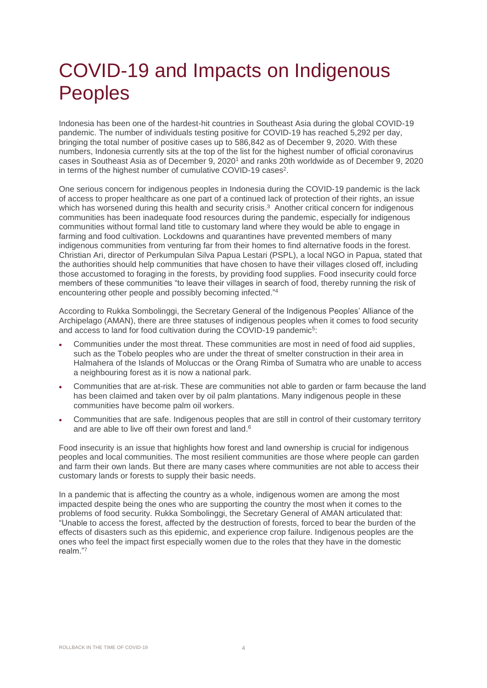### COVID-19 and Impacts on Indigenous Peoples

Indonesia has been one of the hardest-hit countries in Southeast Asia during the global COVID-19 pandemic. The number of individuals testing positive for COVID-19 has reached 5,292 per day, bringing the total number of positive cases up to 586,842 as of December 9, 2020. With these numbers, Indonesia currently sits at the top of the list for the highest number of official coronavirus cases in Southeast Asia as of December 9, 2020<sup>1</sup> and ranks 20th worldwide as of December 9, 2020 in terms of the highest number of cumulative COVID-19 cases<sup>2</sup>.

One serious concern for indigenous peoples in Indonesia during the COVID-19 pandemic is the lack of access to proper healthcare as one part of a continued lack of protection of their rights, an issue which has worsened during this health and security crisis. 3 Another critical concern for indigenous communities has been inadequate food resources during the pandemic, especially for indigenous communities without formal land title to customary land where they would be able to engage in farming and food cultivation. Lockdowns and quarantines have prevented members of many indigenous communities from venturing far from their homes to find alternative foods in the forest. Christian Ari, director of Perkumpulan Silva Papua Lestari (PSPL), a local NGO in Papua, stated that the authorities should help communities that have chosen to have their villages closed off, including those accustomed to foraging in the forests, by providing food supplies. Food insecurity could force members of these communities "to leave their villages in search of food, thereby running the risk of encountering other people and possibly becoming infected." 4

According to Rukka Sombolinggi, the Secretary General of the Indigenous Peoples' Alliance of the Archipelago (AMAN), there are three statuses of indigenous peoples when it comes to food security and access to land for food cultivation during the COVID-19 pandemic<sup>5</sup>:

- Communities under the most threat. These communities are most in need of food aid supplies, such as the Tobelo peoples who are under the threat of smelter construction in their area in Halmahera of the Islands of Moluccas or the Orang Rimba of Sumatra who are unable to access a neighbouring forest as it is now a national park.
- Communities that are at-risk. These are communities not able to garden or farm because the land has been claimed and taken over by oil palm plantations. Many indigenous people in these communities have become palm oil workers.
- Communities that are safe. Indigenous peoples that are still in control of their customary territory and are able to live off their own forest and land. $^6$

Food insecurity is an issue that highlights how forest and land ownership is crucial for indigenous peoples and local communities. The most resilient communities are those where people can garden and farm their own lands. But there are many cases where communities are not able to access their customary lands or forests to supply their basic needs.

In a pandemic that is affecting the country as a whole, indigenous women are among the most impacted despite being the ones who are supporting the country the most when it comes to the problems of food security. Rukka Sombolinggi, the Secretary General of AMAN articulated that: "Unable to access the forest, affected by the destruction of forests, forced to bear the burden of the effects of disasters such as this epidemic, and experience crop failure. Indigenous peoples are the ones who feel the impact first especially women due to the roles that they have in the domestic realm."7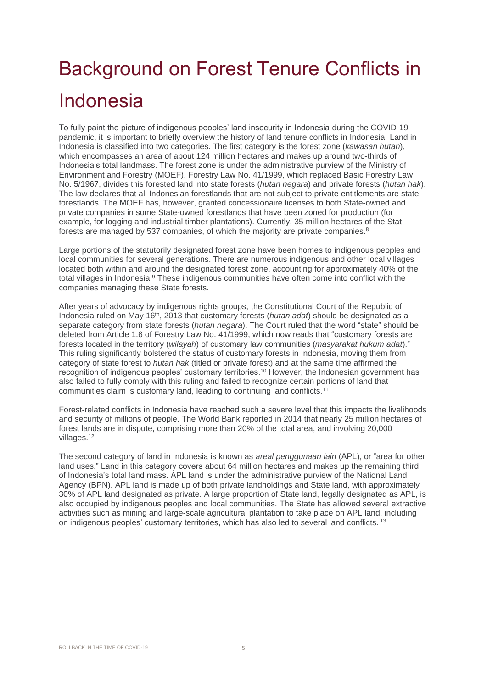# Background on Forest Tenure Conflicts in Indonesia

To fully paint the picture of indigenous peoples' land insecurity in Indonesia during the COVID-19 pandemic, it is important to briefly overview the history of land tenure conflicts in Indonesia. Land in Indonesia is classified into two categories. The first category is the forest zone (*kawasan hutan*), which encompasses an area of about 124 million hectares and makes up around two-thirds of Indonesia's total landmass. The forest zone is under the administrative purview of the Ministry of Environment and Forestry (MOEF). Forestry Law No. 41/1999, which replaced Basic Forestry Law No. 5/1967, divides this forested land into state forests (*hutan negara*) and private forests (*hutan hak*). The law declares that all Indonesian forestlands that are not subject to private entitlements are state forestlands. The MOEF has, however, granted concessionaire licenses to both State-owned and private companies in some State-owned forestlands that have been zoned for production (for example, for logging and industrial timber plantations). Currently, 35 million hectares of the Stat forests are managed by 537 companies, of which the majority are private companies.<sup>8</sup>

Large portions of the statutorily designated forest zone have been homes to indigenous peoples and local communities for several generations. There are numerous indigenous and other local villages located both within and around the designated forest zone, accounting for approximately 40% of the total villages in Indonesia.<sup>9</sup> These indigenous communities have often come into conflict with the companies managing these State forests.

After years of advocacy by indigenous rights groups, the Constitutional Court of the Republic of Indonesia ruled on May 16<sup>th</sup>, 2013 that customary forests (*hutan adat*) should be designated as a separate category from state forests (*hutan negara*). The Court ruled that the word "state" should be deleted from Article 1.6 of Forestry Law No. 41/1999, which now reads that "customary forests are forests located in the territory (*wilayah*) of customary law communities (*masyarakat hukum adat*)." This ruling significantly bolstered the status of customary forests in Indonesia, moving them from category of state forest to *hutan hak* (titled or private forest) and at the same time affirmed the recognition of indigenous peoples' customary territories. <sup>10</sup> However, the Indonesian government has also failed to fully comply with this ruling and failed to recognize certain portions of land that communities claim is customary land, leading to continuing land conflicts.<sup>11</sup>

Forest-related conflicts in Indonesia have reached such a severe level that this impacts the livelihoods and security of millions of people. The World Bank reported in 2014 that nearly 25 million hectares of forest lands are in dispute, comprising more than 20% of the total area, and involving 20,000 villages.<sup>12</sup>

The second category of land in Indonesia is known as *areal penggunaan lain* (APL), or "area for other land uses." Land in this category covers about 64 million hectares and makes up the remaining third of Indonesia's total land mass. APL land is under the administrative purview of the National Land Agency (BPN). APL land is made up of both private landholdings and State land, with approximately 30% of APL land designated as private. A large proportion of State land, legally designated as APL, is also occupied by indigenous peoples and local communities. The State has allowed several extractive activities such as mining and large-scale agricultural plantation to take place on APL land, including on indigenous peoples' customary territories, which has also led to several land conflicts. <sup>13</sup>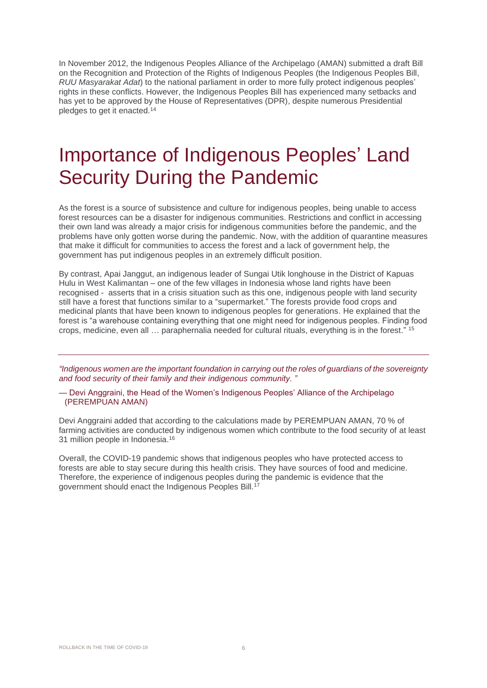In November 2012, the Indigenous Peoples Alliance of the Archipelago (AMAN) submitted a draft Bill on the Recognition and Protection of the Rights of Indigenous Peoples (the Indigenous Peoples Bill, *RUU Masyarakat Adat*) to the national parliament in order to more fully protect indigenous peoples' rights in these conflicts. However, the Indigenous Peoples Bill has experienced many setbacks and has yet to be approved by the House of Representatives (DPR), despite numerous Presidential pledges to get it enacted. 14

### Importance of Indigenous Peoples' Land Security During the Pandemic

As the forest is a source of subsistence and culture for indigenous peoples, being unable to access forest resources can be a disaster for indigenous communities. Restrictions and conflict in accessing their own land was already a major crisis for indigenous communities before the pandemic, and the problems have only gotten worse during the pandemic. Now, with the addition of quarantine measures that make it difficult for communities to access the forest and a lack of government help, the government has put indigenous peoples in an extremely difficult position.

By contrast, Apai Janggut, an indigenous leader of Sungai Utik longhouse in the District of Kapuas Hulu in West Kalimantan – one of the few villages in Indonesia whose land rights have been recognised - asserts that in a crisis situation such as this one, indigenous people with land security still have a forest that functions similar to a "supermarket." The forests provide food crops and medicinal plants that have been known to indigenous peoples for generations. He explained that the forest is "a warehouse containing everything that one might need for indigenous peoples. Finding food crops, medicine, even all … paraphernalia needed for cultural rituals, everything is in the forest." <sup>15</sup>

*"Indigenous women are the important foundation in carrying out the roles of guardians of the sovereignty and food security of their family and their indigenous community. "*

— Devi Anggraini, the Head of the Women's Indigenous Peoples' Alliance of the Archipelago (PEREMPUAN AMAN)

Devi Anggraini added that according to the calculations made by PEREMPUAN AMAN, 70 % of farming activities are conducted by indigenous women which contribute to the food security of at least 31 million people in Indonesia. 16

Overall, the COVID-19 pandemic shows that indigenous peoples who have protected access to forests are able to stay secure during this health crisis. They have sources of food and medicine. Therefore, the experience of indigenous peoples during the pandemic is evidence that the government should enact the Indigenous Peoples Bill.<sup>17</sup>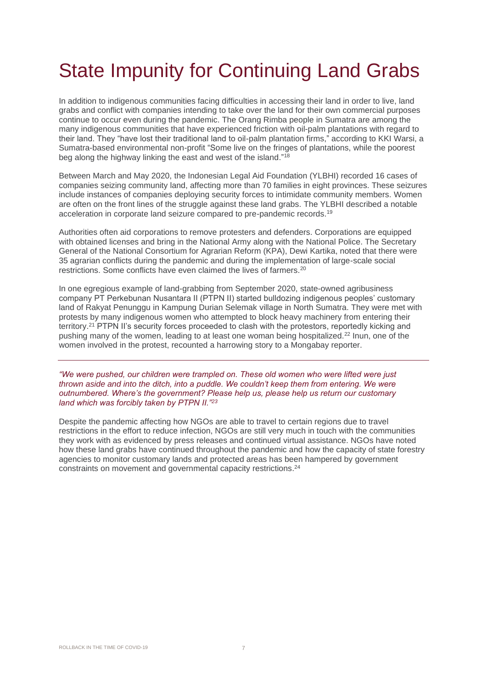# State Impunity for Continuing Land Grabs

In addition to indigenous communities facing difficulties in accessing their land in order to live, land grabs and conflict with companies intending to take over the land for their own commercial purposes continue to occur even during the pandemic. The Orang Rimba people in Sumatra are among the many indigenous communities that have experienced friction with oil-palm plantations with regard to their land. They "have lost their traditional land to oil-palm plantation firms," according to KKI Warsi, a Sumatra-based environmental non-profit "Some live on the fringes of plantations, while the poorest beg along the highway linking the east and west of the island." 18

Between March and May 2020, the Indonesian Legal Aid Foundation (YLBHI) recorded 16 cases of companies seizing community land, affecting more than 70 families in eight provinces. These seizures include instances of companies deploying security forces to intimidate community members. Women are often on the front lines of the struggle against these land grabs. The YLBHI described a notable acceleration in corporate land seizure compared to pre-pandemic records.<sup>19</sup>

Authorities often aid corporations to remove protesters and defenders. Corporations are equipped with obtained licenses and bring in the National Army along with the National Police. The Secretary General of the National Consortium for Agrarian Reform (KPA), Dewi Kartika, noted that there were 35 agrarian conflicts during the pandemic and during the implementation of large-scale social restrictions. Some conflicts have even claimed the lives of farmers.<sup>20</sup>

In one egregious example of land-grabbing from September 2020, state-owned agribusiness company PT Perkebunan Nusantara II (PTPN II) started bulldozing indigenous peoples' customary land of Rakyat Penunggu in Kampung Durian Selemak village in North Sumatra. They were met with protests by many indigenous women who attempted to block heavy machinery from entering their territory.<sup>21</sup> PTPN II's security forces proceeded to clash with the protestors, reportedly kicking and pushing many of the women, leading to at least one woman being hospitalized.<sup>22</sup> Inun, one of the women involved in the protest, recounted a harrowing story to a Mongabay reporter.

*"We were pushed, our children were trampled on. These old women who were lifted were just thrown aside and into the ditch, into a puddle. We couldn't keep them from entering. We were outnumbered. Where's the government? Please help us, please help us return our customary land which was forcibly taken by PTPN II."<sup>23</sup>*

Despite the pandemic affecting how NGOs are able to travel to certain regions due to travel restrictions in the effort to reduce infection, NGOs are still very much in touch with the communities they work with as evidenced by press releases and continued virtual assistance. NGOs have noted how these land grabs have continued throughout the pandemic and how the capacity of state forestry agencies to monitor customary lands and protected areas has been hampered by government constraints on movement and governmental capacity restrictions. 24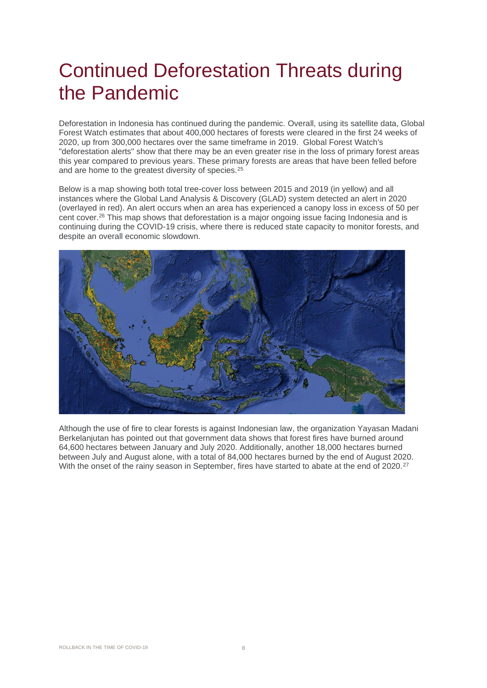### Continued Deforestation Threats during the Pandemic

Deforestation in Indonesia has continued during the pandemic. Overall, using its satellite data, Global Forest Watch estimates that about 400,000 hectares of forests were cleared in the first 24 weeks of 2020, up from 300,000 hectares over the same timeframe in 2019. Global Forest Watch's "deforestation alerts" show that there may be an even greater rise in the loss of primary forest areas this year compared to previous years. These primary forests are areas that have been felled before and are home to the greatest diversity of species.<sup>25</sup>

Below is a map showing both total tree-cover loss between 2015 and 2019 (in yellow) and all instances where the Global Land Analysis & Discovery (GLAD) system detected an alert in 2020 (overlayed in red). An alert occurs when an area has experienced a canopy loss in excess of 50 per cent cover.<sup>26</sup> This map shows that deforestation is a major ongoing issue facing Indonesia and is continuing during the COVID-19 crisis, where there is reduced state capacity to monitor forests, and despite an overall economic slowdown.



Although the use of fire to clear forests is against Indonesian law, the organization Yayasan Madani Berkelanjutan has pointed out that government data shows that forest fires have burned around 64,600 hectares between January and July 2020. Additionally, another 18,000 hectares burned between July and August alone, with a total of 84,000 hectares burned by the end of August 2020. With the onset of the rainy season in September, fires have started to abate at the end of 2020.<sup>27</sup>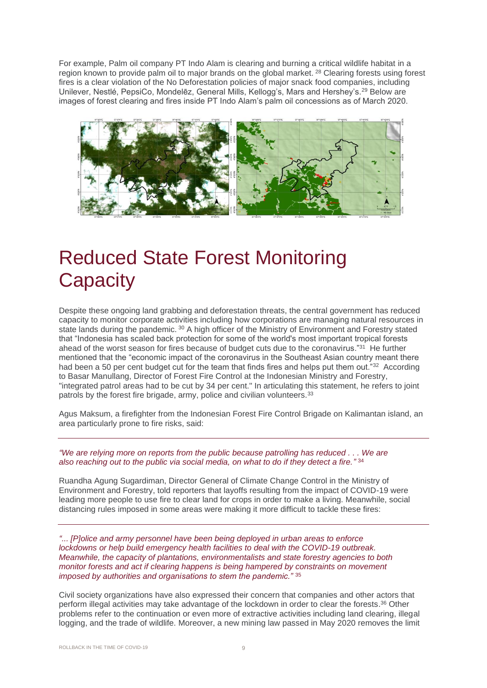For example, Palm oil company PT Indo Alam is clearing and burning a critical wildlife habitat in a region known to provide palm oil to major brands on the global market. <sup>28</sup> Clearing forests using forest fires is a clear violation of the No Deforestation policies of major snack food companies, including Unilever, Nestlé, PepsiCo, Mondelēz, General Mills, Kellogg's, Mars and Hershey's.<sup>29</sup> Below are images of forest clearing and fires inside PT Indo Alam's palm oil concessions as of March 2020.



### Reduced State Forest Monitoring **Capacity**

Despite these ongoing land grabbing and deforestation threats, the central government has reduced capacity to monitor corporate activities including how corporations are managing natural resources in state lands during the pandemic. 30 A high officer of the Ministry of Environment and Forestry stated that "Indonesia has scaled back protection for some of the world's most important tropical forests ahead of the worst season for fires because of budget cuts due to the coronavirus."<sup>31</sup> He further mentioned that the "economic impact of the coronavirus in the Southeast Asian country meant there had been a 50 per cent budget cut for the team that finds fires and helps put them out."<sup>32</sup> According to Basar Manullang, Director of Forest Fire Control at the Indonesian Ministry and Forestry, "integrated patrol areas had to be cut by 34 per cent." In articulating this statement, he refers to joint patrols by the forest fire brigade, army, police and civilian volunteers.<sup>33</sup>

Agus Maksum, a firefighter from the Indonesian Forest Fire Control Brigade on Kalimantan island, an area particularly prone to fire risks, said:

*"We are relying more on reports from the public because patrolling has reduced . . . We are also reaching out to the public via social media, on what to do if they detect a fire."* 34

Ruandha Agung Sugardiman, Director General of Climate Change Control in the Ministry of Environment and Forestry, told reporters that layoffs resulting from the impact of COVID-19 were leading more people to use fire to clear land for crops in order to make a living. Meanwhile, social distancing rules imposed in some areas were making it more difficult to tackle these fires:

*"... [P]olice and army personnel have been being deployed in urban areas to enforce lockdowns or help build emergency health facilities to deal with the COVID-19 outbreak. Meanwhile, the capacity of plantations, environmentalists and state forestry agencies to both monitor forests and act if clearing happens is being hampered by constraints on movement imposed by authorities and organisations to stem the pandemic."* <sup>35</sup>

Civil society organizations have also expressed their concern that companies and other actors that perform illegal activities may take advantage of the lockdown in order to clear the forests. <sup>36</sup> Other problems refer to the continuation or even more of extractive activities including land clearing, illegal logging, and the trade of wildlife. Moreover, a new mining law passed in May 2020 removes the limit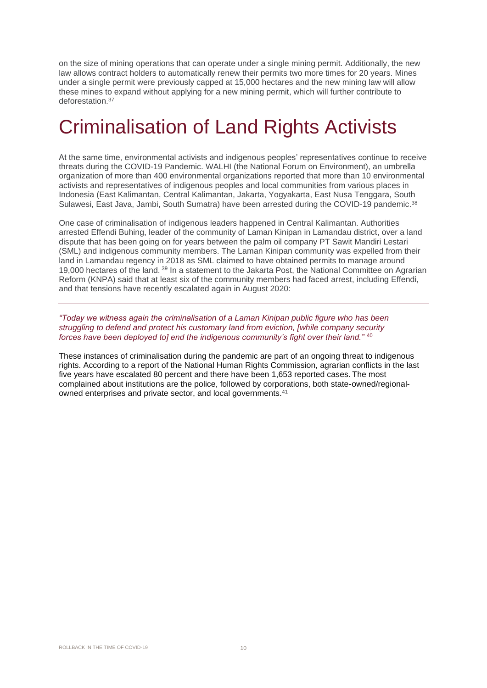on the size of mining operations that can operate under a single mining permit. Additionally, the new law allows contract holders to automatically renew their permits two more times for 20 years. Mines under a single permit were previously capped at 15,000 hectares and the new mining law will allow these mines to expand without applying for a new mining permit, which will further contribute to deforestation.<sup>37</sup>

### Criminalisation of Land Rights Activists

At the same time, environmental activists and indigenous peoples' representatives continue to receive threats during the COVID-19 Pandemic. WALHI (the National Forum on Environment), an umbrella organization of more than 400 environmental organizations reported that more than 10 environmental activists and representatives of indigenous peoples and local communities from various places in Indonesia (East Kalimantan, Central Kalimantan, Jakarta, Yogyakarta, East Nusa Tenggara, South Sulawesi, East Java, Jambi, South Sumatra) have been arrested during the COVID-19 pandemic. 38

One case of criminalisation of indigenous leaders happened in Central Kalimantan. Authorities arrested Effendi Buhing, leader of the community of Laman Kinipan in Lamandau district, over a land dispute that has been going on for years between the palm oil company PT Sawit Mandiri Lestari (SML) and indigenous community members. The Laman Kinipan community was expelled from their land in Lamandau regency in 2018 as SML claimed to have obtained permits to manage around 19,000 hectares of the land. <sup>39</sup> In a statement to the Jakarta Post, the National Committee on Agrarian Reform (KNPA) said that at least six of the community members had faced arrest, including Effendi, and that tensions have recently escalated again in August 2020:

*"Today we witness again the criminalisation of a Laman Kinipan public figure who has been struggling to defend and protect his customary land from eviction, [while company security forces have been deployed to] end the indigenous community's fight over their land."* <sup>40</sup>

These instances of criminalisation during the pandemic are part of an ongoing threat to indigenous rights. According to a report of the National Human Rights Commission, agrarian conflicts in the last five years have escalated 80 percent and there have been 1,653 reported cases. The most complained about institutions are the police, followed by corporations, both state-owned/regionalowned enterprises and private sector, and local governments.<sup>41</sup>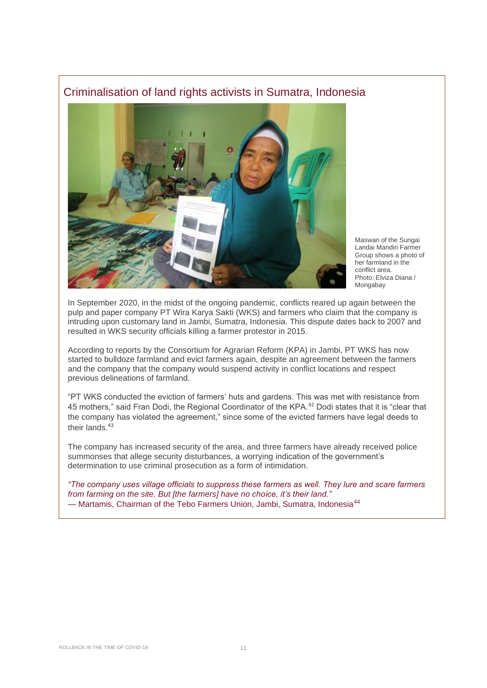#### Criminalisation of land rights activists in Sumatra, Indonesia



Maswan of the Sungai Landai Mandiri Farmer Group shows a photo of her farmland in the conflict area. Photo: Elviza Diana / **Mongabay** 

In September 2020, in the midst of the ongoing pandemic, conflicts reared up again between the pulp and paper company PT Wira Karya Sakti (WKS) and farmers who claim that the company is intruding upon customary land in Jambi, Sumatra, Indonesia. This dispute dates back to 2007 and resulted in WKS security officials killing a farmer protestor in 2015.

According to reports by the Consortium for Agrarian Reform (KPA) in Jambi, PT WKS has now started to bulldoze farmland and evict farmers again, despite an agreement between the farmers and the company that the company would suspend activity in conflict locations and respect previous delineations of farmland.

"PT WKS conducted the eviction of farmers' huts and gardens. This was met with resistance from 45 mothers," said Fran Dodi, the Regional Coordinator of the KPA.<sup>42</sup> Dodi states that it is "clear that the company has violated the agreement," since some of the evicted farmers have legal deeds to their lands.<sup>43</sup>

The company has increased security of the area, and three farmers have already received police summonses that allege security disturbances, a worrying indication of the government's determination to use criminal prosecution as a form of intimidation.

*"The company uses village officials to suppress these farmers as well. They lure and scare farmers from farming on the site. But [the farmers] have no choice, it's their land."* - Martamis, Chairman of the Tebo Farmers Union, Jambi, Sumatra, Indonesia<sup>44</sup>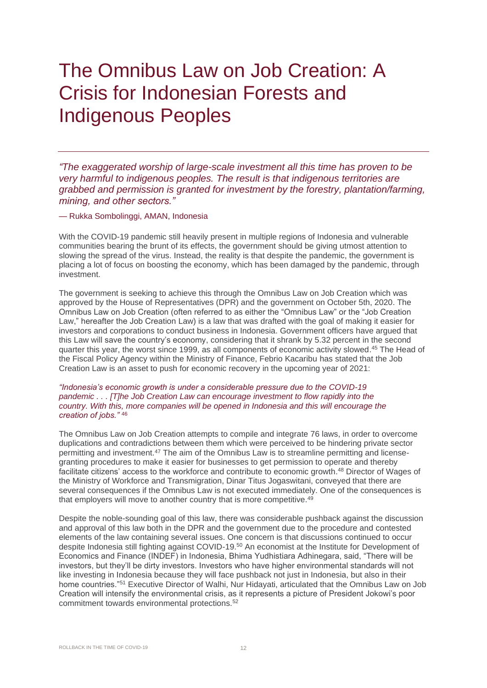### The Omnibus Law on Job Creation: A Crisis for Indonesian Forests and Indigenous Peoples

*"The exaggerated worship of large-scale investment all this time has proven to be very harmful to indigenous peoples. The result is that indigenous territories are grabbed and permission is granted for investment by the forestry, plantation/farming, mining, and other sectors."*

— Rukka Sombolinggi, AMAN, Indonesia

With the COVID-19 pandemic still heavily present in multiple regions of Indonesia and vulnerable communities bearing the brunt of its effects, the government should be giving utmost attention to slowing the spread of the virus. Instead, the reality is that despite the pandemic, the government is placing a lot of focus on boosting the economy, which has been damaged by the pandemic, through investment.

The government is seeking to achieve this through the Omnibus Law on Job Creation which was approved by the House of Representatives (DPR) and the government on October 5th, 2020. The Omnibus Law on Job Creation (often referred to as either the "Omnibus Law" or the "Job Creation Law," hereafter the Job Creation Law) is a law that was drafted with the goal of making it easier for investors and corporations to conduct business in Indonesia. Government officers have argued that this Law will save the country's economy, considering that it shrank by 5.32 percent in the second quarter this year, the worst since 1999, as all components of economic activity slowed. <sup>45</sup> The Head of the Fiscal Policy Agency within the Ministry of Finance, Febrio Kacaribu has stated that the Job Creation Law is an asset to push for economic recovery in the upcoming year of 2021:

*"Indonesia's economic growth is under a considerable pressure due to the COVID-19 pandemic . . . [T]he Job Creation Law can encourage investment to flow rapidly into the country. With this, more companies will be opened in Indonesia and this will encourage the creation of jobs."* <sup>46</sup>

The Omnibus Law on Job Creation attempts to compile and integrate 76 laws, in order to overcome duplications and contradictions between them which were perceived to be hindering private sector permitting and investment.<sup>47</sup> The aim of the Omnibus Law is to streamline permitting and licensegranting procedures to make it easier for businesses to get permission to operate and thereby facilitate citizens' access to the workforce and contribute to economic growth.<sup>48</sup> Director of Wages of the Ministry of Workforce and Transmigration, Dinar Titus Jogaswitani, conveyed that there are several consequences if the Omnibus Law is not executed immediately. One of the consequences is that employers will move to another country that is more competitive.<sup>49</sup>

Despite the noble-sounding goal of this law, there was considerable pushback against the discussion and approval of this law both in the DPR and the government due to the procedure and contested elements of the law containing several issues. One concern is that discussions continued to occur despite Indonesia still fighting against COVID-19.<sup>50</sup> An economist at the Institute for Development of Economics and Finance (INDEF) in Indonesia, Bhima Yudhistiara Adhinegara, said, "There will be investors, but they'll be dirty investors. Investors who have higher environmental standards will not like investing in Indonesia because they will face pushback not just in Indonesia, but also in their home countries."<sup>51</sup> Executive Director of Walhi, Nur Hidayati, articulated that the Omnibus Law on Job Creation will intensify the environmental crisis, as it represents a picture of President Jokowi's poor commitment towards environmental protections.52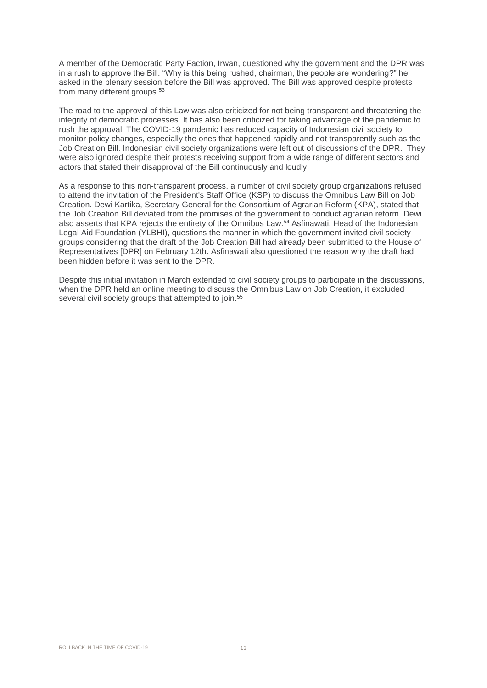A member of the Democratic Party Faction, Irwan, questioned why the government and the DPR was in a rush to approve the Bill. "Why is this being rushed, chairman, the people are wondering?" he asked in the plenary session before the Bill was approved. The Bill was approved despite protests from many different groups. 53

The road to the approval of this Law was also criticized for not being transparent and threatening the integrity of democratic processes. It has also been criticized for taking advantage of the pandemic to rush the approval. The COVID-19 pandemic has reduced capacity of Indonesian civil society to monitor policy changes, especially the ones that happened rapidly and not transparently such as the Job Creation Bill. Indonesian civil society organizations were left out of discussions of the DPR. They were also ignored despite their protests receiving support from a wide range of different sectors and actors that stated their disapproval of the Bill continuously and loudly.

As a response to this non-transparent process, a number of civil society group organizations refused to attend the invitation of the President's Staff Office (KSP) to discuss the Omnibus Law Bill on Job Creation. Dewi Kartika, Secretary General for the Consortium of Agrarian Reform (KPA), stated that the Job Creation Bill deviated from the promises of the government to conduct agrarian reform. Dewi also asserts that KPA rejects the entirety of the Omnibus Law.<sup>54</sup> Asfinawati, Head of the Indonesian Legal Aid Foundation (YLBHI), questions the manner in which the government invited civil society groups considering that the draft of the Job Creation Bill had already been submitted to the House of Representatives [DPR] on February 12th. Asfinawati also questioned the reason why the draft had been hidden before it was sent to the DPR.

Despite this initial invitation in March extended to civil society groups to participate in the discussions, when the DPR held an online meeting to discuss the Omnibus Law on Job Creation, it excluded several civil society groups that attempted to join.<sup>55</sup>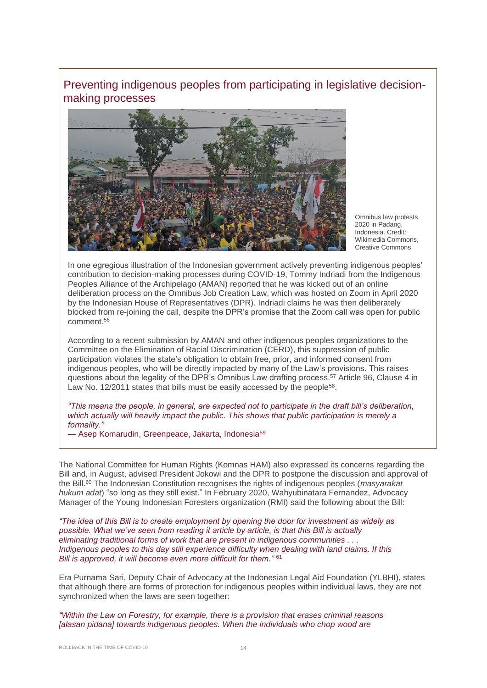Preventing indigenous peoples from participating in legislative decisionmaking processes



Omnibus law protests 2020 in Padang, Indonesia. Credit: Wikimedia Commons, Creative Commons

In one egregious illustration of the Indonesian government actively preventing indigenous peoples' contribution to decision-making processes during COVID-19, Tommy Indriadi from the Indigenous Peoples Alliance of the Archipelago (AMAN) reported that he was kicked out of an online deliberation process on the Omnibus Job Creation Law, which was hosted on Zoom in April 2020 by the Indonesian House of Representatives (DPR). Indriadi claims he was then deliberately blocked from re-joining the call, despite the DPR's promise that the Zoom call was open for public comment.<sup>56</sup>

According to a recent submission by AMAN and other indigenous peoples organizations to the Committee on the Elimination of Racial Discrimination (CERD), this suppression of public participation violates the state's obligation to obtain free, prior, and informed consent from indigenous peoples, who will be directly impacted by many of the Law's provisions. This raises questions about the legality of the DPR's Omnibus Law drafting process.<sup>57</sup> Article 96, Clause 4 in Law No. 12/2011 states that bills must be easily accessed by the people<sup>58</sup>.

*"This means the people, in general, are expected not to participate in the draft bill's deliberation, which actually will heavily impact the public. This shows that public participation is merely a formality."*

— Asep Komarudin, Greenpeace, Jakarta, Indonesia<sup>59</sup>

The National Committee for Human Rights (Komnas HAM) also expressed its concerns regarding the Bill and, in August, advised President Jokowi and the DPR to postpone the discussion and approval of the Bill. <sup>60</sup> The Indonesian Constitution recognises the rights of indigenous peoples (*masyarakat hukum adat*) "so long as they still exist." In February 2020, Wahyubinatara Fernandez, Advocacy Manager of the Young Indonesian Foresters organization (RMI) said the following about the Bill:

*"The idea of this Bill is to create employment by opening the door for investment as widely as possible. What we've seen from reading it article by article, is that this Bill is actually eliminating traditional forms of work that are present in indigenous communities . . . Indigenous peoples to this day still experience difficulty when dealing with land claims. If this Bill is approved, it will become even more difficult for them."* 61

Era Purnama Sari, Deputy Chair of Advocacy at the Indonesian Legal Aid Foundation (YLBHI), states that although there are forms of protection for indigenous peoples within individual laws, they are not synchronized when the laws are seen together:

*"Within the Law on Forestry, for example, there is a provision that erases criminal reasons [alasan pidana] towards indigenous peoples. When the individuals who chop wood are*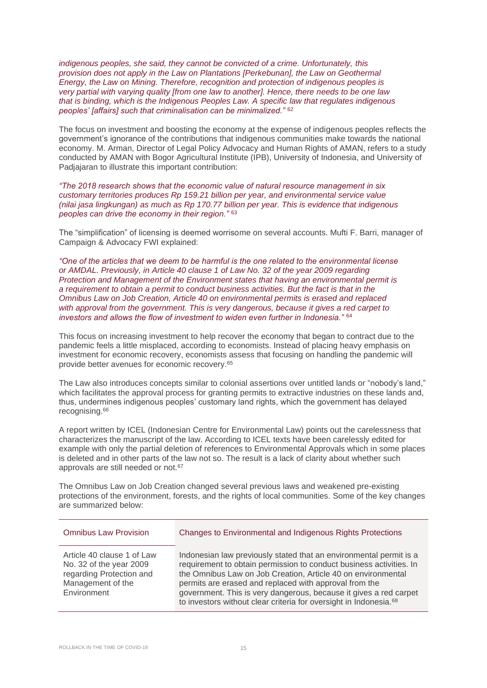*indigenous peoples, she said, they cannot be convicted of a crime. Unfortunately, this provision does not apply in the Law on Plantations [Perkebunan], the Law on Geothermal Energy, the Law on Mining. Therefore, recognition and protection of indigenous peoples is very partial with varying quality [from one law to another]. Hence, there needs to be one law that is binding, which is the Indigenous Peoples Law. A specific law that regulates indigenous peoples' [affairs] such that criminalisation can be minimalized."* <sup>62</sup>

The focus on investment and boosting the economy at the expense of indigenous peoples reflects the government's ignorance of the contributions that indigenous communities make towards the national economy. M. Arman, Director of Legal Policy Advocacy and Human Rights of AMAN, refers to a study conducted by AMAN with Bogor Agricultural Institute (IPB), University of Indonesia, and University of Padjajaran to illustrate this important contribution:

*"The 2018 research shows that the economic value of natural resource management in six customary territories produces Rp 159.21 billion per year, and environmental service value (nilai jasa lingkungan) as much as Rp 170.77 billion per year. This is evidence that indigenous peoples can drive the economy in their region."* <sup>63</sup>

The "simplification" of licensing is deemed worrisome on several accounts. Mufti F. Barri, manager of Campaign & Advocacy FWI explained:

*"One of the articles that we deem to be harmful is the one related to the environmental license or AMDAL. Previously, in Article 40 clause 1 of Law No. 32 of the year 2009 regarding Protection and Management of the Environment states that having an environmental permit is a requirement to obtain a permit to conduct business activities. But the fact is that in the Omnibus Law on Job Creation, Article 40 on environmental permits is erased and replaced with approval from the government. This is very dangerous, because it gives a red carpet to investors and allows the flow of investment to widen even further in Indonesia."* <sup>64</sup>

This focus on increasing investment to help recover the economy that began to contract due to the pandemic feels a little misplaced, according to economists. Instead of placing heavy emphasis on investment for economic recovery, economists assess that focusing on handling the pandemic will provide better avenues for economic recovery.<sup>65</sup>

The Law also introduces concepts similar to colonial assertions over untitled lands or "nobody's land," which facilitates the approval process for granting permits to extractive industries on these lands and, thus, undermines indigenous peoples' customary land rights, which the government has delayed recognising. 66

A report written by ICEL (Indonesian Centre for Environmental Law) points out the carelessness that characterizes the manuscript of the law. According to ICEL texts have been carelessly edited for example with only the partial deletion of references to Environmental Approvals which in some places is deleted and in other parts of the law not so. The result is a lack of clarity about whether such approvals are still needed or not.<sup>67</sup>

The Omnibus Law on Job Creation changed several previous laws and weakened pre-existing protections of the environment, forests, and the rights of local communities. Some of the key changes are summarized below:

| <b>Omnibus Law Provision</b>                                                                                          | Changes to Environmental and Indigenous Rights Protections                                                                                                                                                                                                                                                                                                                                                                |
|-----------------------------------------------------------------------------------------------------------------------|---------------------------------------------------------------------------------------------------------------------------------------------------------------------------------------------------------------------------------------------------------------------------------------------------------------------------------------------------------------------------------------------------------------------------|
| Article 40 clause 1 of Law<br>No. 32 of the year 2009<br>regarding Protection and<br>Management of the<br>Environment | Indonesian law previously stated that an environmental permit is a<br>requirement to obtain permission to conduct business activities. In<br>the Omnibus Law on Job Creation, Article 40 on environmental<br>permits are erased and replaced with approval from the<br>government. This is very dangerous, because it gives a red carpet<br>to investors without clear criteria for oversight in Indonesia. <sup>68</sup> |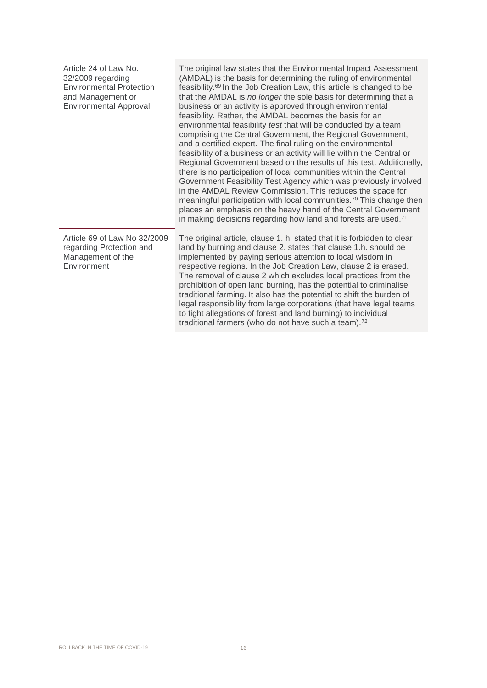| Article 24 of Law No.<br>32/2009 regarding<br><b>Environmental Protection</b><br>and Management or<br><b>Environmental Approval</b> | The original law states that the Environmental Impact Assessment<br>(AMDAL) is the basis for determining the ruling of environmental<br>feasibility. <sup>69</sup> In the Job Creation Law, this article is changed to be<br>that the AMDAL is no longer the sole basis for determining that a<br>business or an activity is approved through environmental<br>feasibility. Rather, the AMDAL becomes the basis for an<br>environmental feasibility test that will be conducted by a team<br>comprising the Central Government, the Regional Government,<br>and a certified expert. The final ruling on the environmental<br>feasibility of a business or an activity will lie within the Central or<br>Regional Government based on the results of this test. Additionally,<br>there is no participation of local communities within the Central<br>Government Feasibility Test Agency which was previously involved<br>in the AMDAL Review Commission. This reduces the space for<br>meaningful participation with local communities. <sup>70</sup> This change then<br>places an emphasis on the heavy hand of the Central Government<br>in making decisions regarding how land and forests are used. <sup>71</sup> |
|-------------------------------------------------------------------------------------------------------------------------------------|------------------------------------------------------------------------------------------------------------------------------------------------------------------------------------------------------------------------------------------------------------------------------------------------------------------------------------------------------------------------------------------------------------------------------------------------------------------------------------------------------------------------------------------------------------------------------------------------------------------------------------------------------------------------------------------------------------------------------------------------------------------------------------------------------------------------------------------------------------------------------------------------------------------------------------------------------------------------------------------------------------------------------------------------------------------------------------------------------------------------------------------------------------------------------------------------------------------------|
| Article 69 of Law No 32/2009<br>regarding Protection and<br>Management of the<br>Environment                                        | The original article, clause 1. h. stated that it is forbidden to clear<br>land by burning and clause 2. states that clause 1.h. should be<br>implemented by paying serious attention to local wisdom in<br>respective regions. In the Job Creation Law, clause 2 is erased.<br>The removal of clause 2 which excludes local practices from the<br>prohibition of open land burning, has the potential to criminalise<br>traditional farming. It also has the potential to shift the burden of<br>legal responsibility from large corporations (that have legal teams<br>to fight allegations of forest and land burning) to individual<br>traditional farmers (who do not have such a team). <sup>72</sup>                                                                                                                                                                                                                                                                                                                                                                                                                                                                                                            |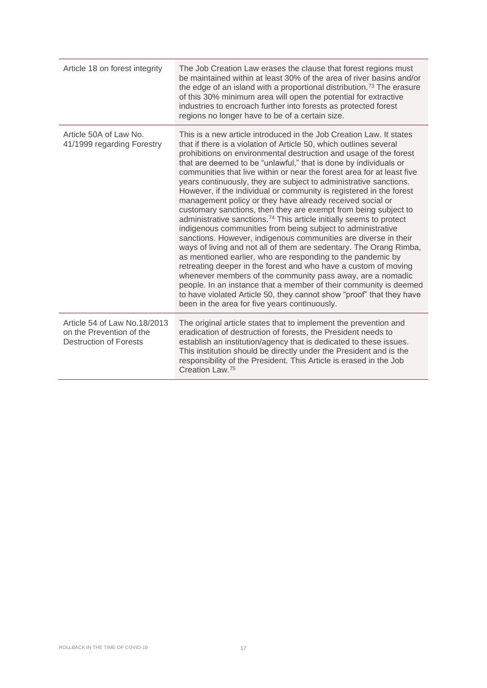| Article 18 on forest integrity                                                            | The Job Creation Law erases the clause that forest regions must<br>be maintained within at least 30% of the area of river basins and/or<br>the edge of an island with a proportional distribution. <sup>73</sup> The erasure<br>of this 30% minimum area will open the potential for extractive<br>industries to encroach further into forests as protected forest<br>regions no longer have to be of a certain size.                                                                                                                                                                                                                                                                                                                                                                                                                                                                                                                                                                                                                                                                                                                                                                                                                                                                                                             |
|-------------------------------------------------------------------------------------------|-----------------------------------------------------------------------------------------------------------------------------------------------------------------------------------------------------------------------------------------------------------------------------------------------------------------------------------------------------------------------------------------------------------------------------------------------------------------------------------------------------------------------------------------------------------------------------------------------------------------------------------------------------------------------------------------------------------------------------------------------------------------------------------------------------------------------------------------------------------------------------------------------------------------------------------------------------------------------------------------------------------------------------------------------------------------------------------------------------------------------------------------------------------------------------------------------------------------------------------------------------------------------------------------------------------------------------------|
| Article 50A of Law No.<br>41/1999 regarding Forestry                                      | This is a new article introduced in the Job Creation Law. It states<br>that if there is a violation of Article 50, which outlines several<br>prohibitions on environmental destruction and usage of the forest<br>that are deemed to be "unlawful," that is done by individuals or<br>communities that live within or near the forest area for at least five<br>years continuously, they are subject to administrative sanctions.<br>However, if the individual or community is registered in the forest<br>management policy or they have already received social or<br>customary sanctions, then they are exempt from being subject to<br>administrative sanctions. <sup>74</sup> This article initially seems to protect<br>indigenous communities from being subject to administrative<br>sanctions. However, indigenous communities are diverse in their<br>ways of living and not all of them are sedentary. The Orang Rimba,<br>as mentioned earlier, who are responding to the pandemic by<br>retreating deeper in the forest and who have a custom of moving<br>whenever members of the community pass away, are a nomadic<br>people. In an instance that a member of their community is deemed<br>to have violated Article 50, they cannot show "proof" that they have<br>been in the area for five years continuously. |
| Article 54 of Law No.18/2013<br>on the Prevention of the<br><b>Destruction of Forests</b> | The original article states that to implement the prevention and<br>eradication of destruction of forests, the President needs to<br>establish an institution/agency that is dedicated to these issues.<br>This institution should be directly under the President and is the<br>responsibility of the President. This Article is erased in the Job<br>Creation Law. <sup>75</sup>                                                                                                                                                                                                                                                                                                                                                                                                                                                                                                                                                                                                                                                                                                                                                                                                                                                                                                                                                |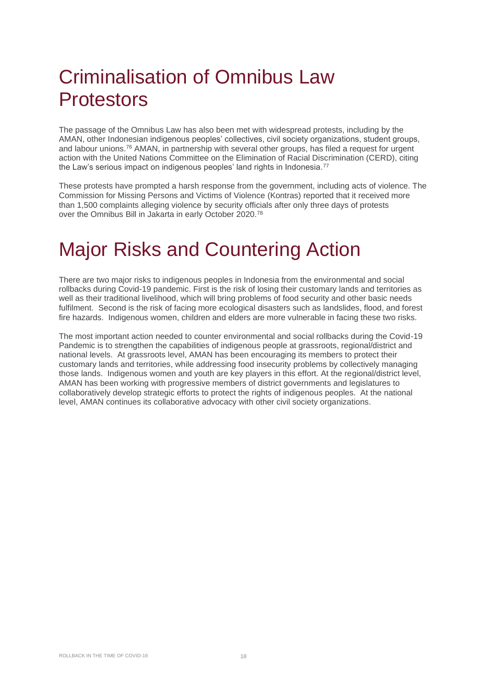### Criminalisation of Omnibus Law **Protestors**

The passage of the Omnibus Law has also been met with widespread protests, including by the AMAN, other Indonesian indigenous peoples' collectives, civil society organizations, student groups, and labour unions.<sup>76</sup> AMAN, in partnership with several other groups, has filed a request for urgent action with the United Nations Committee on the Elimination of Racial Discrimination (CERD), citing the Law's serious impact on indigenous peoples' land rights in Indonesia.<sup>77</sup>

These protests have prompted a harsh response from the government, including acts of violence. The Commission for Missing Persons and Victims of Violence (Kontras) reported that it received more than 1,500 complaints alleging violence by security officials after only three days of protests over the Omnibus Bill in Jakarta in early October 2020.<sup>78</sup>

### Major Risks and Countering Action

There are two major risks to indigenous peoples in Indonesia from the environmental and social rollbacks during Covid-19 pandemic. First is the risk of losing their customary lands and territories as well as their traditional livelihood, which will bring problems of food security and other basic needs fulfilment. Second is the risk of facing more ecological disasters such as landslides, flood, and forest fire hazards. Indigenous women, children and elders are more vulnerable in facing these two risks.

The most important action needed to counter environmental and social rollbacks during the Covid-19 Pandemic is to strengthen the capabilities of indigenous people at grassroots, regional/district and national levels. At grassroots level, AMAN has been encouraging its members to protect their customary lands and territories, while addressing food insecurity problems by collectively managing those lands. Indigenous women and youth are key players in this effort. At the regional/district level, AMAN has been working with progressive members of district governments and legislatures to collaboratively develop strategic efforts to protect the rights of indigenous peoples. At the national level, AMAN continues its collaborative advocacy with other civil society organizations.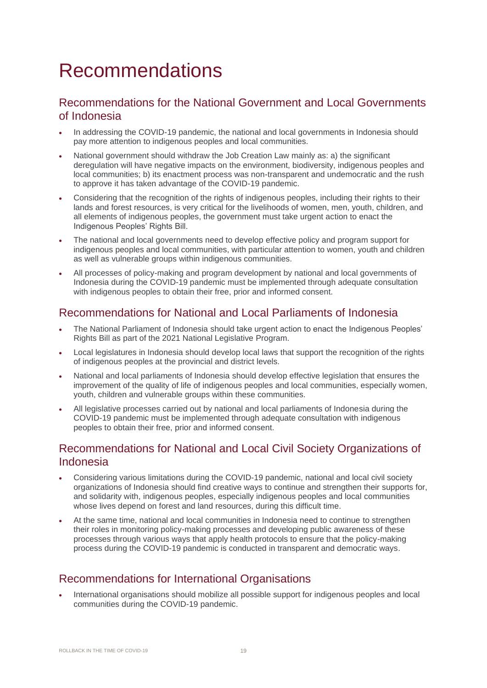### Recommendations

#### Recommendations for the National Government and Local Governments of Indonesia

- In addressing the COVID-19 pandemic, the national and local governments in Indonesia should pay more attention to indigenous peoples and local communities.
- National government should withdraw the Job Creation Law mainly as: a) the significant deregulation will have negative impacts on the environment, biodiversity, indigenous peoples and local communities; b) its enactment process was non-transparent and undemocratic and the rush to approve it has taken advantage of the COVID-19 pandemic.
- Considering that the recognition of the rights of indigenous peoples, including their rights to their lands and forest resources, is very critical for the livelihoods of women, men, youth, children, and all elements of indigenous peoples, the government must take urgent action to enact the Indigenous Peoples' Rights Bill.
- The national and local governments need to develop effective policy and program support for indigenous peoples and local communities, with particular attention to women, youth and children as well as vulnerable groups within indigenous communities.
- All processes of policy-making and program development by national and local governments of Indonesia during the COVID-19 pandemic must be implemented through adequate consultation with indigenous peoples to obtain their free, prior and informed consent.

#### Recommendations for National and Local Parliaments of Indonesia

- The National Parliament of Indonesia should take urgent action to enact the Indigenous Peoples' Rights Bill as part of the 2021 National Legislative Program.
- Local legislatures in Indonesia should develop local laws that support the recognition of the rights of indigenous peoples at the provincial and district levels.
- National and local parliaments of Indonesia should develop effective legislation that ensures the improvement of the quality of life of indigenous peoples and local communities, especially women, youth, children and vulnerable groups within these communities.
- All legislative processes carried out by national and local parliaments of Indonesia during the COVID-19 pandemic must be implemented through adequate consultation with indigenous peoples to obtain their free, prior and informed consent.

#### Recommendations for National and Local Civil Society Organizations of Indonesia

- Considering various limitations during the COVID-19 pandemic, national and local civil society organizations of Indonesia should find creative ways to continue and strengthen their supports for, and solidarity with, indigenous peoples, especially indigenous peoples and local communities whose lives depend on forest and land resources, during this difficult time.
- At the same time, national and local communities in Indonesia need to continue to strengthen their roles in monitoring policy-making processes and developing public awareness of these processes through various ways that apply health protocols to ensure that the policy-making process during the COVID-19 pandemic is conducted in transparent and democratic ways.

#### Recommendations for International Organisations

• International organisations should mobilize all possible support for indigenous peoples and local communities during the COVID-19 pandemic.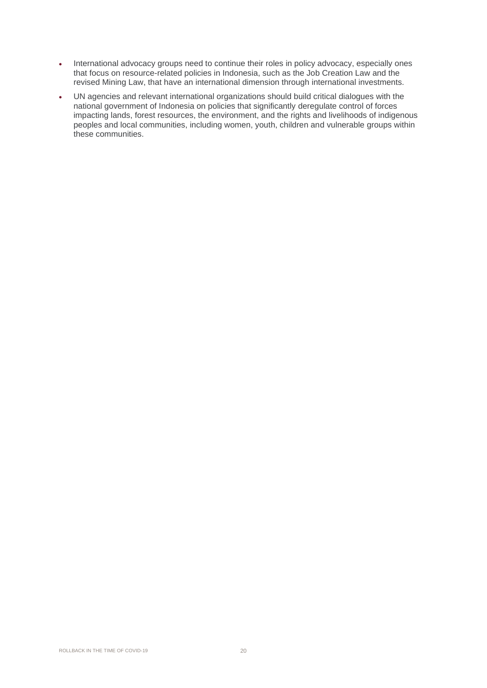- International advocacy groups need to continue their roles in policy advocacy, especially ones that focus on resource-related policies in Indonesia, such as the Job Creation Law and the revised Mining Law, that have an international dimension through international investments.
- UN agencies and relevant international organizations should build critical dialogues with the national government of Indonesia on policies that significantly deregulate control of forces impacting lands, forest resources, the environment, and the rights and livelihoods of indigenous peoples and local communities, including women, youth, children and vulnerable groups within these communities.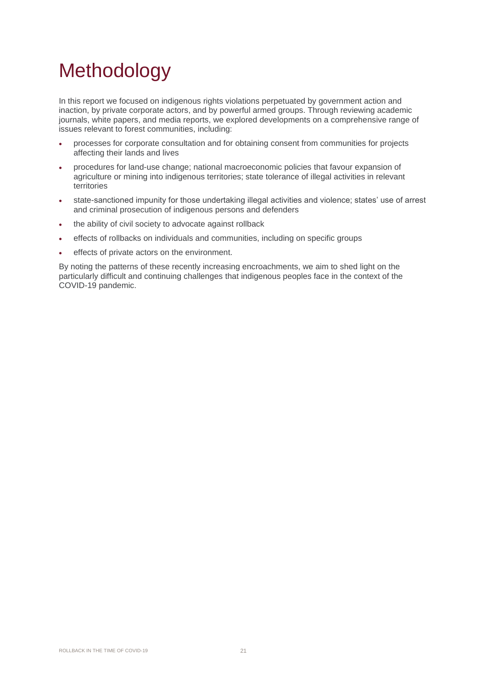# Methodology

In this report we focused on indigenous rights violations perpetuated by government action and inaction, by private corporate actors, and by powerful armed groups. Through reviewing academic journals, white papers, and media reports, we explored developments on a comprehensive range of issues relevant to forest communities, including:

- processes for corporate consultation and for obtaining consent from communities for projects affecting their lands and lives
- procedures for land-use change; national macroeconomic policies that favour expansion of agriculture or mining into indigenous territories; state tolerance of illegal activities in relevant territories
- state-sanctioned impunity for those undertaking illegal activities and violence; states' use of arrest and criminal prosecution of indigenous persons and defenders
- the ability of civil society to advocate against rollback
- effects of rollbacks on individuals and communities, including on specific groups
- effects of private actors on the environment.

By noting the patterns of these recently increasing encroachments, we aim to shed light on the particularly difficult and continuing challenges that indigenous peoples face in the context of the COVID-19 pandemic.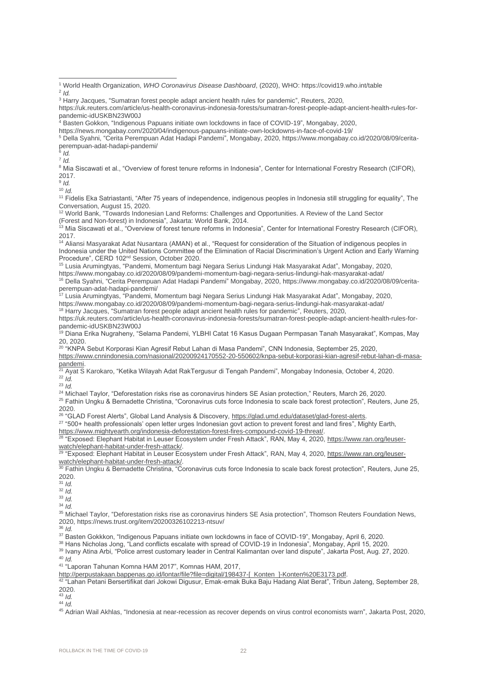7 *Id.*

<sup>8</sup> Mia Siscawati et al., "Overview of forest tenure reforms in Indonesia", Center for International Forestry Research (CIFOR), 2017.

9 *Id.*

<sup>10</sup> *Id.*

<sup>11</sup> Fidelis Eka Satriastanti, "After 75 years of independence, indigenous peoples in Indonesia still struggling for equality", The Conversation, August 15, 2020.

<sup>12</sup> World Bank, "Towards Indonesian Land Reforms: Challenges and Opportunities. A Review of the Land Sector (Forest and Non-forest) in Indonesia", Jakarta: World Bank, 2014.

13 Mia Siscawati et al., "Overview of forest tenure reforms in Indonesia", Center for International Forestry Research (CIFOR), 2017.

<sup>14</sup> Aliansi Masyarakat Adat Nusantara (AMAN) et al., "Request for consideration of the Situation of indigenous peoples in Indonesia under the United Nations Committee of the Elimination of Racial Discrimination's Urgent Action and Early Warning Procedure", CERD 102nd Session, October 2020.

<sup>15</sup> Lusia Arumingtyas, "Pandemi, Momentum bagi Negara Serius Lindungi Hak Masyarakat Adat", Mongabay, 2020, https://www.mongabay.co.id/2020/08/09/pandemi-momentum-bagi-negara-serius-lindungi-hak-masyarakat-adat/

<sup>16</sup> Della Syahni, "Cerita Perempuan Adat Hadapi Pandemi" Mongabay, 2020, https://www.mongabay.co.id/2020/08/09/ceritaperempuan-adat-hadapi-pandemi/

<sup>17</sup> Lusia Arumingtyas, "Pandemi, Momentum bagi Negara Serius Lindungi Hak Masyarakat Adat", Mongabay, 2020, https://www.mongabay.co.id/2020/08/09/pandemi-momentum-bagi-negara-serius-lindungi-hak-masyarakat-adat/ <sup>18</sup> Harry Jacques, "Sumatran forest people adapt ancient health rules for pandemic", Reuters, 2020,

https://uk.reuters.com/article/us-health-coronavirus-indonesia-forests/sumatran-forest-people-adapt-ancient-health-rules-forpandemic-idUSKBN23W00J

<sup>'ıs</sup> Diana Erika Nugraheny, "Selama Pandemi, YLBHI Catat 16 Kasus Dugaan Permpasan Tanah Masyarakat", Kompas, May 20, 2020.

<sup>20</sup> "KNPA Sebut Korporasi Kian Agresif Rebut Lahan di Masa Pandemi", CNN Indonesia, September 25, 2020, [https://www.cnnindonesia.com/nasional/20200924170552-20-550602/knpa-sebut-korporasi-kian-agresif-rebut-lahan-di-masa-](https://www.cnnindonesia.com/nasional/20200924170552-20-550602/knpa-sebut-korporasi-kian-agresif-rebut-lahan-di-masa-pandemi)

[pandemi.](https://www.cnnindonesia.com/nasional/20200924170552-20-550602/knpa-sebut-korporasi-kian-agresif-rebut-lahan-di-masa-pandemi)

<sup>21</sup> Ayat S Karokaro, "Ketika Wilayah Adat RakTergusur di Tengah Pandemi", Mongabay Indonesia, October 4, 2020. <sup>22</sup> *Id.*

<sup>23</sup> *Id.*

<sup>24</sup> Michael Taylor, "Deforestation risks rise as coronavirus hinders SE Asian protection," Reuters, March 26, 2020.

<sup>25</sup> Fathin Ungku & Bernadette Christina, "Coronavirus cuts force Indonesia to scale back forest protection", Reuters, June 25, 2020.

<sup>26</sup> "GLAD Forest Alerts", Global Land Analysis & Discovery, https://glad.umd.edu/dataset/glad-forest-alerts.

 $^{27}$  "500+ health professionals' open letter urges Indonesian govt action to prevent forest and land fires", Mighty Earth, [https://www.mightyearth.org/indonesia-deforestation-forest-fires-compound-covid-19-threat/.](https://www.mightyearth.org/indonesia-deforestation-forest-fires-compound-covid-19-threat/)

<sup>28</sup> "Exposed: Elephant Habitat in Leuser Ecosystem under Fresh Attack", RAN, May 4, 2020, [https://www.ran.org/leuser](https://www.ran.org/leuser-watch/elephant-habitat-under-fresh-attack/)watch/elephant-habitat-under-fresh-attack/

<sup>29</sup> "Exposed: Elephant Habitat in Leuser Ecosystem under Fresh Attack", RAN, May 4, 2020[, https://www.ran.org/leuser](https://www.ran.org/leuser-watch/elephant-habitat-under-fresh-attack/)[watch/elephant-habitat-under-fresh-attack/.](https://www.ran.org/leuser-watch/elephant-habitat-under-fresh-attack/) 

<sup>30</sup> Fathin Ungku & Bernadette Christina, "Coronavirus cuts force Indonesia to scale back forest protection", Reuters, June 25, 2020.

<sup>31</sup> *Id.*

<sup>32</sup> *Id.*

<sup>33</sup> *Id.*

<sup>34</sup> *Id.*

<sup>35</sup> Michael Taylor, "Deforestation risks rise as coronavirus hinders SE Asia protection", Thomson Reuters Foundation News, 2020, https://news.trust.org/item/20200326102213-ntsuv/

<sup>36</sup> *Id.*

 $^{37}$  Basten Gokkkon, "Indigenous Papuans initiate own lockdowns in face of COVID-19", Mongabay, April 6, 2020.

 $^\mathrm{38}$  Hans Nicholas Jong, "Land conflicts escalate with spread of COVID-19 in Indonesia", Mongabay, April 15, 2020.

<sup>39</sup> Ivany Atina Arbi, "Police arrest customary leader in Central Kalimantan over land dispute", Jakarta Post, Aug. 27, 2020. <sup>40</sup> *Id.*

<sup>41</sup> "Laporan Tahunan Komna HAM 2017", Komnas HAM, 2017,

[http://perpustakaan.bappenas.go.id/lontar/file?file=digital/198437-\[\\_Konten\\_\]-Konten%20E3173.pdf.](http://perpustakaan.bappenas.go.id/lontar/file?file=digital/198437-%5b_Konten_%5d-Konten%20E3173.pdf)

 $^{42}$  "Lahan Petani Bersertifikat dari Jokowi Digusur, Emak-emak Buka Baju Hadang Alat Berat", Tribun Jateng, September 28, 2020.

<sup>43</sup> *Id.*

 $44 \overline{10}$ .

45 Adrian Wail Akhlas, "Indonesia at near-recession as recover depends on virus control economists warn", Jakarta Post, 2020,

<sup>1</sup> World Health Organization, *WHO Coronavirus Disease Dashboard*, (2020), WHO: https://covid19.who.int/table 2 *Id.*

<sup>&</sup>lt;sup>3</sup> Harry Jacques, "Sumatran forest people adapt ancient health rules for pandemic", Reuters, 2020,

https://uk.reuters.com/article/us-health-coronavirus-indonesia-forests/sumatran-forest-people-adapt-ancient-health-rules-forpandemic-idUSKBN23W00J

<sup>4</sup> Basten Gokkon, "Indigenous Papuans initiate own lockdowns in face of COVID-19", Mongabay, 2020,

https://news.mongabay.com/2020/04/indigenous-papuans-initiate-own-lockdowns-in-face-of-covid-19/

<sup>5</sup> Della Syahni, "Cerita Perempuan Adat Hadapi Pandemi", Mongabay, 2020, https://www.mongabay.co.id/2020/08/09/ceritaperempuan-adat-hadapi-pandemi/ 6 *Id.*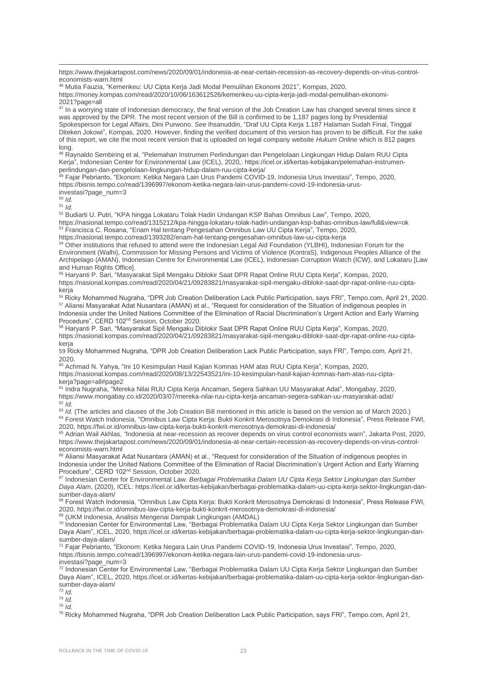https://www.thejakartapost.com/news/2020/09/01/indonesia-at-near-certain-recession-as-recovery-depends-on-virus-controleconomists-warn.html

<sup>46</sup> Mutia Fauzia, "Kemenkeu: UU Cipta Kerja Jadi Modal Pemulihan Ekonomi 2021", Kompas, 2020,

https://money.kompas.com/read/2020/10/06/163612526/kemenkeu-uu-cipta-kerja-jadi-modal-pemulihan-ekonomi- $20212$ page=all

<sup>47</sup> In a worrying state of Indonesian democracy, the final version of the Job Creation Law has changed several times since it was approved by the DPR. The most recent version of the Bill is confirmed to be 1,187 pages long by Presidential Spokesperson for Legal Affairs, Dini Purwono. *See* Ihsanuddin, "Draf UU Cipta Kerja 1.187 Halaman Sudah Final, Tinggal Diteken Jokowi", Kompas, 2020. However, finding the verified document of this version has proven to be difficult. For the sake of this report, we cite the most recent version that is uploaded on legal company website *Hukum Online* which is 812 pages long.

<sup>48</sup> Raynaldo Sembiring et al, "Pelemahan Instrumen Perlindungan dan Pengelolaan Lingkungan Hidup Dalam RUU Cipta Kerja", Indonesian Center for Environmental Law (ICEL), 2020,: https://icel.or.id/kertas-kebijakan/pelemahan-instrumenperlindungan-dan-pengelolaan-lingkungan-hidup-dalam-ruu-cipta-kerja/

<sup>49</sup> Fajar Pebrianto, "Ekonom: Ketika Negara Lain Urus Pandemi COVID-19, Indonesia Urus Investasi", Tempo, 2020, https://bisnis.tempo.co/read/1396997/ekonom-ketika-negara-lain-urus-pandemi-covid-19-indonesia-urusinvestasi?page\_num=3

<sup>50</sup> *Id.*

 $51$  *Id.* 

<sup>52</sup> Budiarti U. Putri, "KPA hingga Lokataru Tolak Hadiri Undangan KSP Bahas Omnibus Law", Tempo, 2020, https://nasional.tempo.co/read/1315212/kpa-hingga-lokataru-tolak-hadiri-undangan-ksp-bahas-omnibus-law/full&view=ok <sup>53</sup> Francisca C. Rosana, "Enam Hal tentang Pengesahan Omnibus Law UU Cipta Kerja", Tempo, 2020, https://nasional.tempo.co/read/1393282/enam-hal-tentang-pengesahan-omnibus-law-uu-cipta-kerja

<sup>54</sup> Other institutions that refused to attend were the Indonesian Legal Aid Foundation (YLBHI), Indonesian Forum for the Environment (Walhi), Commission for Missing Persons and Victims of Violence (KontraS), Indigenous Peoples Alliance of the Archipelago (AMAN), Indonesian Centre for Environmental Law (ICEL), Indonesian Corruption Watch (ICW), and Lokataru [Law and Human Rights Office].

<sup>55</sup> Haryanti P. Sari, "Masyarakat Sipil Mengaku Diblokir Saat DPR Rapat Online RUU Cipta Kerja", Kompas, 2020, https://nasional.kompas.com/read/2020/04/21/09283821/masyarakat-sipil-mengaku-diblokir-saat-dpr-rapat-online-ruu-ciptakerja

<sup>56</sup> Ricky Mohammed Nugraha, "DPR Job Creation Deliberation Lack Public Participation, says FRI", Tempo.com, April 21, 2020. <sup>57</sup> Aliansi Masyarakat Adat Nusantara (AMAN) et al., "Request for consideration of the Situation of indigenous peoples in Indonesia under the United Nations Committee of the Elimination of Racial Discrimination's Urgent Action and Early Warning Procedure", CERD 102nd Session, October 2020.

<sup>58</sup> Haryanti P. Sari, "Masyarakat Sipil Mengaku Diblokir Saat DPR Rapat Online RUU Cipta Kerja", Kompas, 2020, https://nasional.kompas.com/read/2020/04/21/09283821/masyarakat-sipil-mengaku-diblokir-saat-dpr-rapat-online-ruu-ciptakerja

59 Ricky Mohammed Nugraha, "DPR Job Creation Deliberation Lack Public Participation, says FRI", Tempo.com, April 21, 2020.

<sup>60</sup> Achmad N. Yahya, "Ini 10 Kesimpulan Hasil Kajian Komnas HAM atas RUU Cipta Kerja", Kompas, 2020, https://nasional.kompas.com/read/2020/08/13/22543521/ini-10-kesimpulan-hasil-kajian-komnas-ham-atas-ruu-ciptakerja?page=all#page2

<sup>61</sup> Indra Nugraha, "Mereka Nilai RUU Cipta Kerja Ancaman, Segera Sahkan UU Masyarakat Adat", Mongabay, 2020, https://www.mongabay.co.id/2020/03/07/mereka-nilai-ruu-cipta-kerja-ancaman-segera-sahkan-uu-masyarakat-adat/  $62$  *Id.* 

<sup>63</sup> *Id.* (The articles and clauses of the Job Creation Bill mentioned in this article is based on the version as of March 2020.) <sup>64</sup> Forest Watch Indonesia, "Omnibus Law Cipta Kerja: Bukti Konkrit Merosotnya Demokrasi di Indonesia", Press Release FWI, 2020, https://fwi.or.id/omnibus-law-cipta-kerja-bukti-konkrit-merosotnya-demokrasi-di-indonesia/

<sup>65</sup> Adrian Wail Akhlas, "Indonesia at near-recession as recover depends on virus control economists warn", Jakarta Post, 2020, https://www.thejakartapost.com/news/2020/09/01/indonesia-at-near-certain-recession-as-recovery-depends-on-virus-controleconomists-warn.html

<sup>66</sup> Aliansi Masyarakat Adat Nusantara (AMAN) et al., "Request for consideration of the Situation of indigenous peoples in Indonesia under the United Nations Committee of the Elimination of Racial Discrimination's Urgent Action and Early Warning Procedure", CERD 102nd Session, October 2020.

<sup>67</sup> Indonesian Center for Environmental Law. *Berbagai Problematika Dalam UU Cipta Kerja Sektor Lingkungan dan Sumber Daya Alam*, (2020), ICEL: https://icel.or.id/kertas-kebijakan/berbagai-problematika-dalam-uu-cipta-kerja-sektor-lingkungan-dansumber-daya-alam/

<sup>68</sup> Forest Watch Indonesia, "Omnibus Law Cipta Kerja: Bukti Konkrit Merosotnya Demokrasi di Indonesia", Press Release FWI, 2020, https://fwi.or.id/omnibus-law-cipta-kerja-bukti-konkrit-merosotnya-demokrasi-di-indonesia/

<sup>69</sup> (UKM Indonesia, Analisis Mengenai Dampak Lingkungan (AMDAL)

<sup>70</sup> Indonesian Center for Environmental Law, "Berbagai Problematika Dalam UU Cipta Kerja Sektor Lingkungan dan Sumber Daya Alam", ICEL, 2020, https://icel.or.id/kertas-kebijakan/berbagai-problematika-dalam-uu-cipta-kerja-sektor-lingkungan-dansumber-daya-alam/

<sup>71</sup> Fajar Pebrianto, "Ekonom: Ketika Negara Lain Urus Pandemi COVID-19, Indonesia Urus Investasi", Tempo, 2020, https://bisnis.tempo.co/read/1396997/ekonom-ketika-negara-lain-urus-pandemi-covid-19-indonesia-urusinvestasi?page\_num=3

<sup>72</sup> Indonesian Center for Environmental Law, "Berbagai Problematika Dalam UU Cipta Kerja Sektor Lingkungan dan Sumber Daya Alam", ICEL, 2020, https://icel.or.id/kertas-kebijakan/berbagai-problematika-dalam-uu-cipta-kerja-sektor-lingkungan-dansumber-daya-alam/

<sup>73</sup> *Id.*

<sup>74</sup> *Id.*

<sup>75</sup> *Id.*

<sup>76</sup> Ricky Mohammed Nugraha, "DPR Job Creation Deliberation Lack Public Participation, says FRI", Tempo.com, April 21,